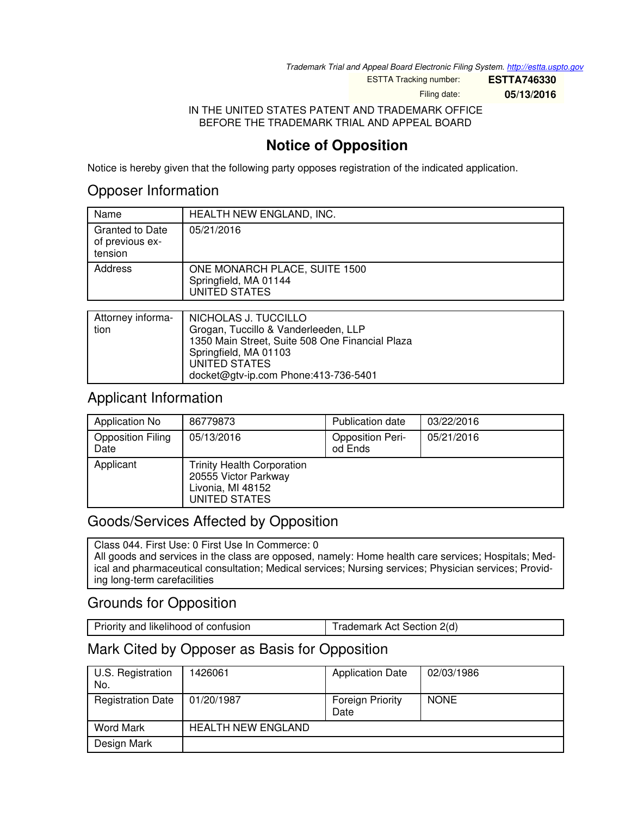*Trademark Trial and Appeal Board Electronic Filing System. <http://estta.uspto.gov>*

ESTTA Tracking number: **ESTTA746330**

Filing date: **05/13/2016**

IN THE UNITED STATES PATENT AND TRADEMARK OFFICE BEFORE THE TRADEMARK TRIAL AND APPEAL BOARD

# **Notice of Opposition**

Notice is hereby given that the following party opposes registration of the indicated application.

## Opposer Information

| Name                                                 | HEALTH NEW ENGLAND, INC.                                                       |
|------------------------------------------------------|--------------------------------------------------------------------------------|
| <b>Granted to Date</b><br>of previous ex-<br>tension | 05/21/2016                                                                     |
| Address                                              | ONE MONARCH PLACE, SUITE 1500<br>Springfield, MA 01144<br><b>UNITED STATES</b> |
|                                                      |                                                                                |
| Attorney informa-                                    | NICHOLAS J. TUCCILLO                                                           |

|      | Allomey informa- I NICHOLAS J. TUCCILLO         |
|------|-------------------------------------------------|
| tion | Grogan, Tuccillo & Vanderleeden, LLP            |
|      | 1350 Main Street, Suite 508 One Financial Plaza |
|      | Springfield, MA 01103                           |
|      | UNITED STATES                                   |
|      | docket@gtv-ip.com Phone:413-736-5401            |
|      |                                                 |

## Applicant Information

| Application No                   | 86779873                                                                                        | <b>Publication date</b>            | 03/22/2016 |
|----------------------------------|-------------------------------------------------------------------------------------------------|------------------------------------|------------|
| <b>Opposition Filing</b><br>Date | 05/13/2016                                                                                      | <b>Opposition Peri-</b><br>od Ends | 05/21/2016 |
| Applicant                        | <b>Trinity Health Corporation</b><br>20555 Victor Parkway<br>Livonia, MI 48152<br>UNITED STATES |                                    |            |

# Goods/Services Affected by Opposition

Class 044. First Use: 0 First Use In Commerce: 0 All goods and services in the class are opposed, namely: Home health care services; Hospitals; Medical and pharmaceutical consultation; Medical services; Nursing services; Physician services; Providing long-term carefacilities

# Grounds for Opposition

Priority and likelihood of confusion Trademark Act Section 2(d)

# Mark Cited by Opposer as Basis for Opposition

| U.S. Registration<br>No. | 1426061                   | <b>Application Date</b>  | 02/03/1986  |
|--------------------------|---------------------------|--------------------------|-------------|
| <b>Registration Date</b> | 01/20/1987                | Foreign Priority<br>Date | <b>NONE</b> |
| <b>Word Mark</b>         | <b>HEALTH NEW ENGLAND</b> |                          |             |
| Design Mark              |                           |                          |             |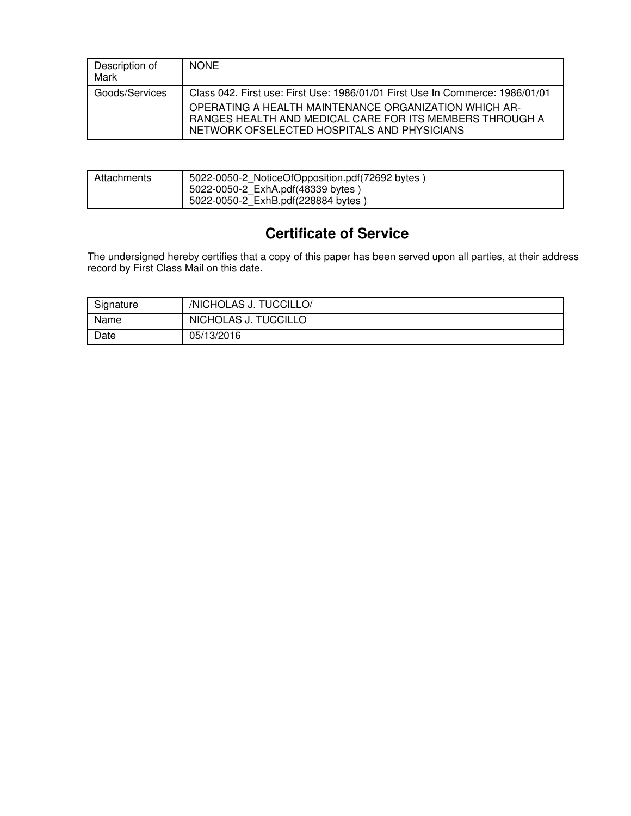| Description of<br>Mark | <b>NONE</b>                                                                                                                                                                                                                                       |
|------------------------|---------------------------------------------------------------------------------------------------------------------------------------------------------------------------------------------------------------------------------------------------|
| Goods/Services         | Class 042. First use: First Use: 1986/01/01 First Use In Commerce: 1986/01/01<br>OPERATING A HEALTH MAINTENANCE ORGANIZATION WHICH AR-<br>RANGES HEALTH AND MEDICAL CARE FOR ITS MEMBERS THROUGH A<br>NETWORK OFSELECTED HOSPITALS AND PHYSICIANS |

| Attachments | 5022-0050-2 NoticeOfOpposition.pdf(72692 bytes)<br>5022-0050-2 ExhA.pdf(48339 bytes) |
|-------------|--------------------------------------------------------------------------------------|
|             | 5022-0050-2 ExhB.pdf(228884 bytes)                                                   |

# **Certificate of Service**

The undersigned hereby certifies that a copy of this paper has been served upon all parties, at their address record by First Class Mail on this date.

| Signature | /NICHOLAS J. TUCCILLO/ |
|-----------|------------------------|
| Name      | NICHOLAS J. TUCCILLO   |
| Date      | 05/13/2016             |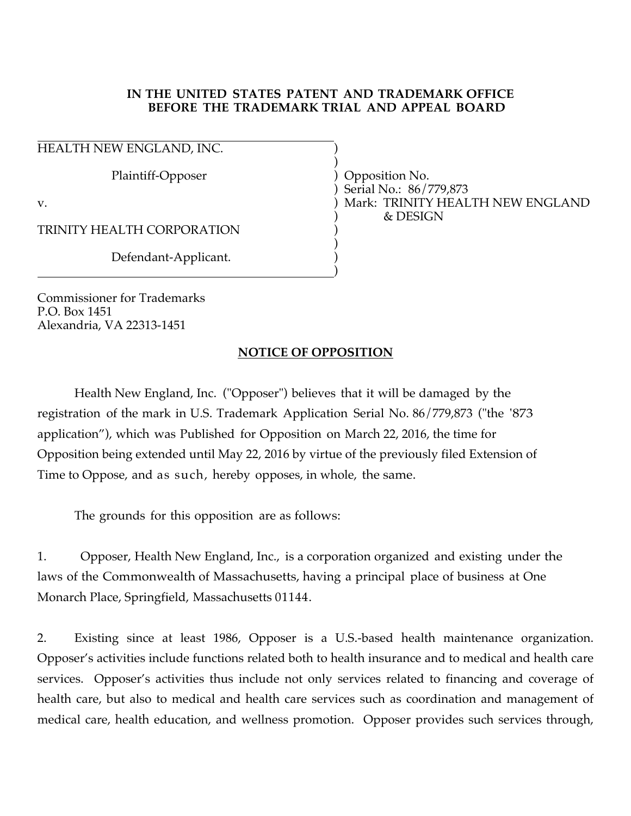## **IN THE UNITED STATES PATENT AND TRADEMARK OFFICE BEFORE THE TRADEMARK TRIAL AND APPEAL BOARD**

 HEALTH NEW ENGLAND, INC.  $\qquad \qquad$ 

 ) Plaintiff-Opposer ) Opposition No.

TRINITY HEALTH CORPORATION )

 ) Defendant-Applicant. )

) and the contract of the contract of  $\mathcal{L}$  (  $\mathcal{L}$  ) and  $\mathcal{L}$  (  $\mathcal{L}$  ) and  $\mathcal{L}$ 

Commissioner for Trademarks P.O. Box 1451 Alexandria, VA 22313-1451

 ) Serial No.: 86/779,873 v. ) Mark: TRINITY HEALTH NEW ENGLAND ) & DESIGN

## **NOTICE OF OPPOSITION**

Health New England, Inc. ("Opposer") believes that it will be damaged by the registration of the mark in U.S. Trademark Application Serial No. 86/779,873 ("the '873 application"), which was Published for Opposition on March 22, 2016, the time for Opposition being extended until May 22, 2016 by virtue of the previously filed Extension of Time to Oppose, and as such, hereby opposes, in whole, the same.

The grounds for this opposition are as follows:

1. Opposer, Health New England, Inc., is a corporation organized and existing under the laws of the Commonwealth of Massachusetts, having a principal place of business at One Monarch Place, Springfield, Massachusetts 01144.

2. Existing since at least 1986, Opposer is a U.S.-based health maintenance organization. Opposer's activities include functions related both to health insurance and to medical and health care services. Opposer's activities thus include not only services related to financing and coverage of health care, but also to medical and health care services such as coordination and management of medical care, health education, and wellness promotion. Opposer provides such services through,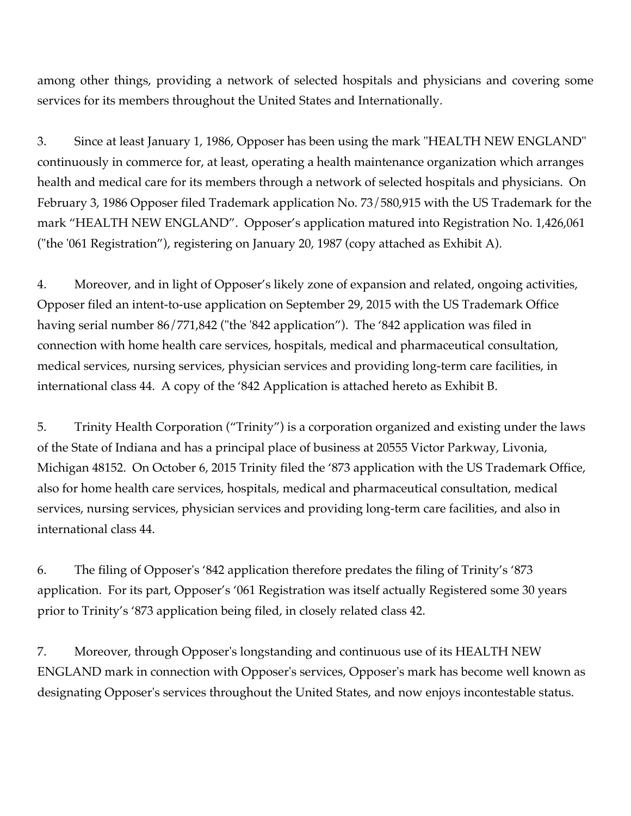among other things, providing a network of selected hospitals and physicians and covering some services for its members throughout the United States and Internationally.

3. Since at least January 1, 1986, Opposer has been using the mark "HEALTH NEW ENGLAND" continuously in commerce for, at least, operating a health maintenance organization which arranges health and medical care for its members through a network of selected hospitals and physicians. On February 3, 1986 Opposer filed Trademark application No. 73/580,915 with the US Trademark for the mark "HEALTH NEW ENGLAND". Opposer's application matured into Registration No. 1,426,061 ("the '061 Registration"), registering on January 20, 1987 (copy attached as Exhibit A).

4. Moreover, and in light of Opposer's likely zone of expansion and related, ongoing activities, Opposer filed an intent-to-use application on September 29, 2015 with the US Trademark Office having serial number 86/771,842 ("the '842 application"). The '842 application was filed in connection with home health care services, hospitals, medical and pharmaceutical consultation, medical services, nursing services, physician services and providing long-term care facilities, in international class 44. A copy of the '842 Application is attached hereto as Exhibit B.

5. Trinity Health Corporation ("Trinity") is a corporation organized and existing under the laws of the State of Indiana and has a principal place of business at 20555 Victor Parkway, Livonia, Michigan 48152. On October 6, 2015 Trinity filed the '873 application with the US Trademark Office, also for home health care services, hospitals, medical and pharmaceutical consultation, medical services, nursing services, physician services and providing long-term care facilities, and also in international class 44.

6. The filing of Opposer's '842 application therefore predates the filing of Trinity's '873 application. For its part, Opposer's '061 Registration was itself actually Registered some 30 years prior to Trinity's '873 application being filed, in closely related class 42.

7. Moreover, through Opposer's longstanding and continuous use of its HEALTH NEW ENGLAND mark in connection with Opposer's services, Opposer's mark has become well known as designating Opposer's services throughout the United States, and now enjoys incontestable status.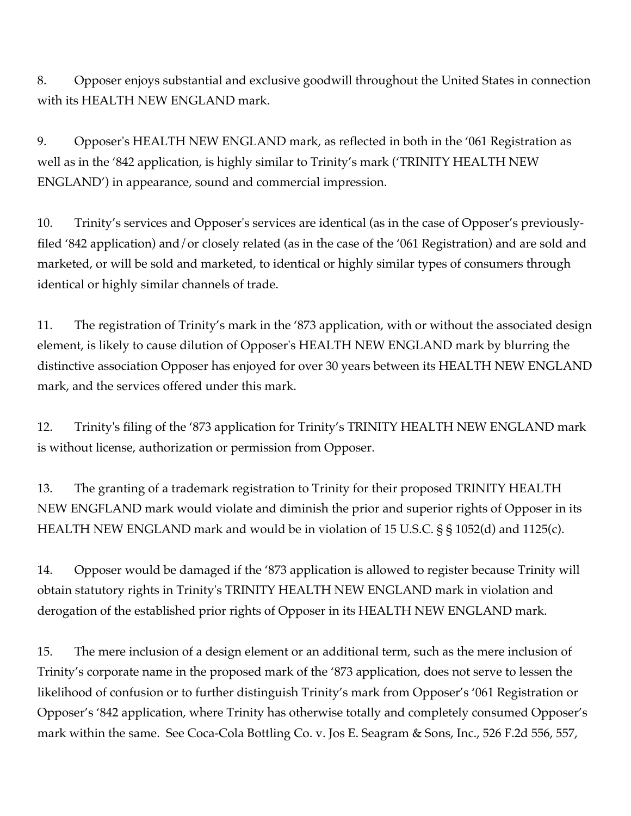8. Opposer enjoys substantial and exclusive goodwill throughout the United States in connection with its HEALTH NEW ENGLAND mark.

9. Opposer's HEALTH NEW ENGLAND mark, as reflected in both in the '061 Registration as well as in the '842 application, is highly similar to Trinity's mark ('TRINITY HEALTH NEW ENGLAND') in appearance, sound and commercial impression.

10. Trinity's services and Opposer's services are identical (as in the case of Opposer's previouslyfiled '842 application) and/or closely related (as in the case of the '061 Registration) and are sold and marketed, or will be sold and marketed, to identical or highly similar types of consumers through identical or highly similar channels of trade.

11. The registration of Trinity's mark in the '873 application, with or without the associated design element, is likely to cause dilution of Opposer's HEALTH NEW ENGLAND mark by blurring the distinctive association Opposer has enjoyed for over 30 years between its HEALTH NEW ENGLAND mark, and the services offered under this mark.

12. Trinity's filing of the '873 application for Trinity's TRINITY HEALTH NEW ENGLAND mark is without license, authorization or permission from Opposer.

13. The granting of a trademark registration to Trinity for their proposed TRINITY HEALTH NEW ENGFLAND mark would violate and diminish the prior and superior rights of Opposer in its HEALTH NEW ENGLAND mark and would be in violation of 15 U.S.C. § § 1052(d) and 1125(c).

14. Opposer would be damaged if the '873 application is allowed to register because Trinity will obtain statutory rights in Trinity's TRINITY HEALTH NEW ENGLAND mark in violation and derogation of the established prior rights of Opposer in its HEALTH NEW ENGLAND mark.

15. The mere inclusion of a design element or an additional term, such as the mere inclusion of Trinity's corporate name in the proposed mark of the '873 application, does not serve to lessen the likelihood of confusion or to further distinguish Trinity's mark from Opposer's '061 Registration or Opposer's '842 application, where Trinity has otherwise totally and completely consumed Opposer's mark within the same. See Coca-Cola Bottling Co. v. Jos E. Seagram & Sons, Inc., 526 F.2d 556, 557,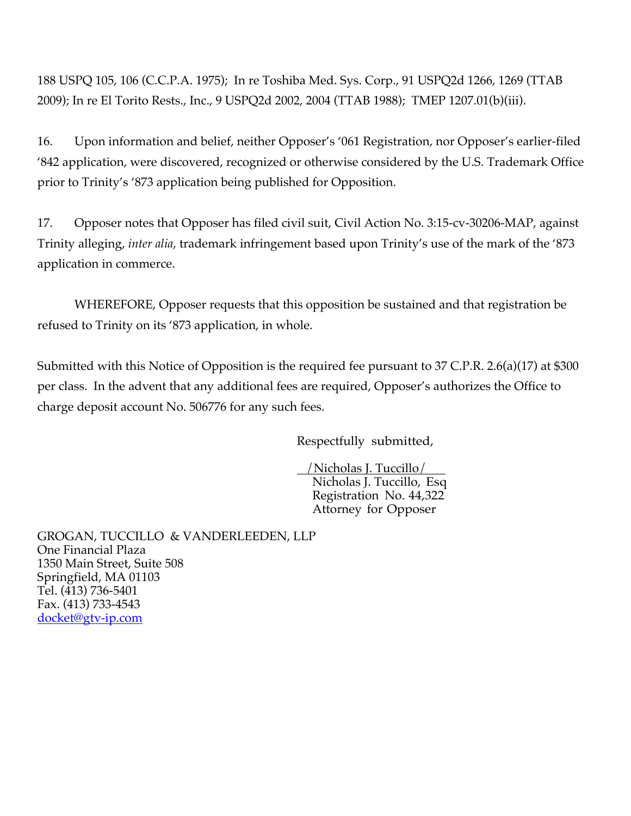188 USPQ 105, 106 (C.C.P.A. 1975); In re Toshiba Med. Sys. Corp., 91 USPQ2d 1266, 1269 (TTAB 2009); In re El Torito Rests., Inc., 9 USPQ2d 2002, 2004 (TTAB 1988); TMEP 1207.01(b)(iii).

16. Upon information and belief, neither Opposer's '061 Registration, nor Opposer's earlier-filed '842 application, were discovered, recognized or otherwise considered by the U.S. Trademark Office prior to Trinity's '873 application being published for Opposition.

17. Opposer notes that Opposer has filed civil suit, Civil Action No. 3:15-cv-30206-MAP, against Trinity alleging, *inter alia*, trademark infringement based upon Trinity's use of the mark of the '873 application in commerce.

WHEREFORE, Opposer requests that this opposition be sustained and that registration be refused to Trinity on its '873 application, in whole.

Submitted with this Notice of Opposition is the required fee pursuant to 37 C.P.R. 2.6(a)(17) at \$300 per class. In the advent that any additional fees are required, Opposer's authorizes the Office to charge deposit account No. 506776 for any such fees.

Respectfully submitted,

 /Nicholas J. Tuccillo/ Nicholas J. Tuccillo, Esq Registration No. 44,322 Attorney for Opposer

GROGAN, TUCCILLO & VANDERLEEDEN, LLP One Financial Plaza 1350 Main Street, Suite 508 Springfield, MA 01103 Tel. (413) 736-5401 Fax. (413) 733-4543 docket@gtv-ip.com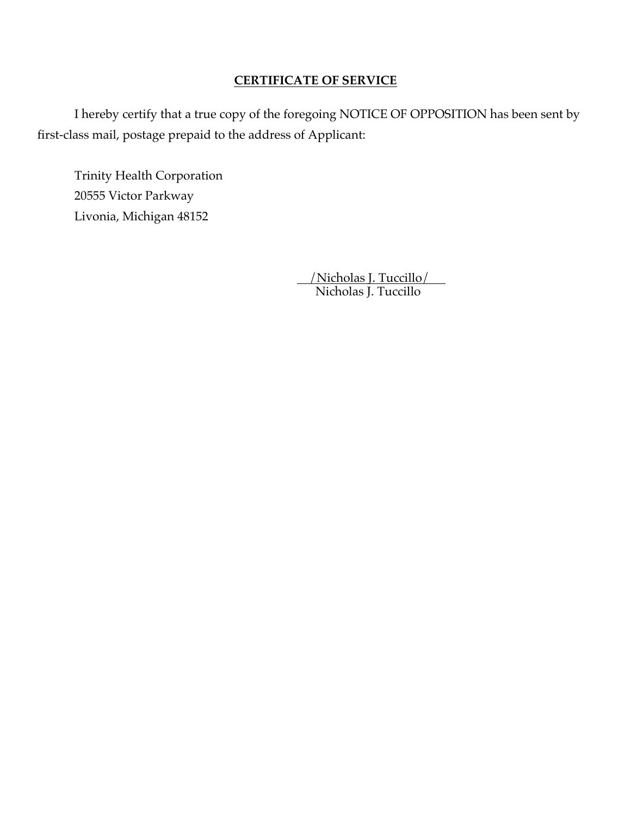## **CERTIFICATE OF SERVICE**

 I hereby certify that a true copy of the foregoing NOTICE OF OPPOSITION has been sent by first-class mail, postage prepaid to the address of Applicant:

 Trinity Health Corporation 20555 Victor Parkway Livonia, Michigan 48152

 /Nicholas J. Tuccillo/ Nicholas J. Tuccillo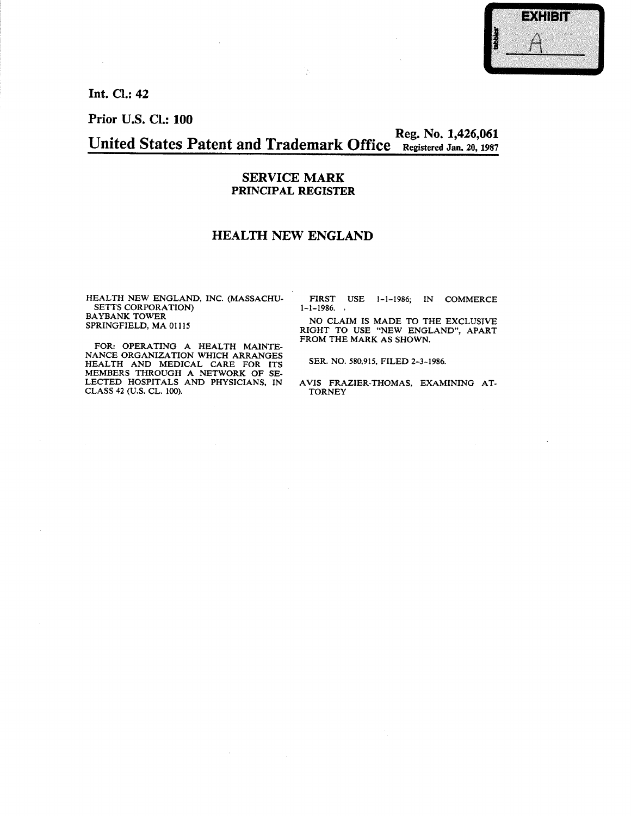

Int. Cl.: 42

 $\sim$ 

Prior U.S. Cl.: 100

Reg. No. 1,426,061 United States Patent and Trademark Office Registered Jan. 20, 1987

#### **SERVICE MARK** PRINCIPAL REGISTER

### **HEALTH NEW ENGLAND**

HEALTH NEW ENGLAND, INC. (MASSACHU-SETTS CORPORATION) **BAYBANK TOWER** SPRINGFIELD, MA 01115

FOR: OPERATING A HEALTH MAINTENANCE ORGANIZATION WHICH ARRANGES HEALTH AND MEDICAL CARE FOR ITS<br>MEMBERS THROUGH A NETWORK OF SE-LECTED HOSPITALS AND PHYSICIANS, IN<br>CLASS 42 (U.S. CL. 100).

FIRST USE 1-1-1986; IN COMMERCE  $1 - 1 - 1986.$ 

NO CLAIM IS MADE TO THE EXCLUSIVE RIGHT TO USE "NEW ENGLAND", APART FROM THE MARK AS SHOWN.

SER. NO. 580,915, FILED 2-3-1986.

AVIS FRAZIER-THOMAS, EXAMINING AT-**TORNEY**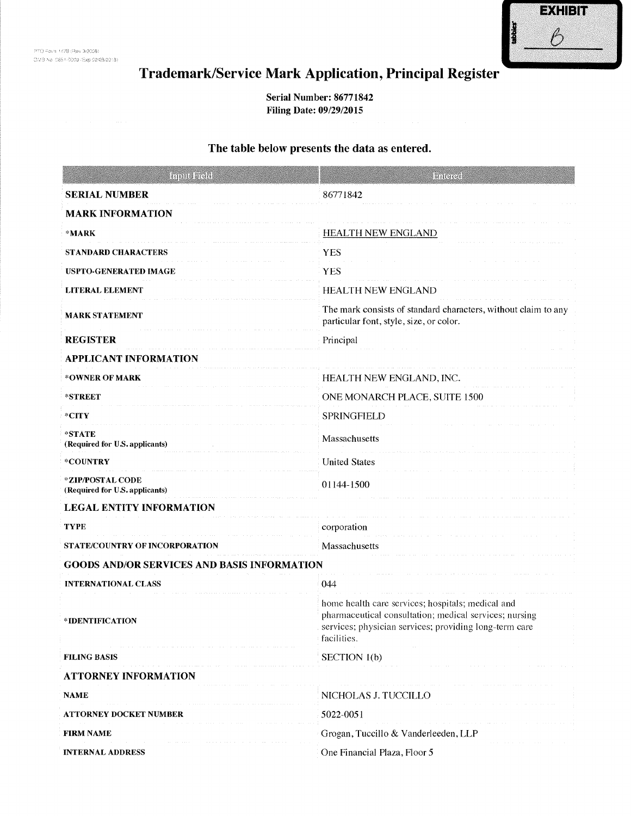

# Trademark/Service Mark Application, Principal Register

Serial Number: 86771842 Filing Date: 09/29/2015

#### The table below presents the data as entered.

| <b>Input Field</b>                                 | Iangea                                                                                                                                                                               |
|----------------------------------------------------|--------------------------------------------------------------------------------------------------------------------------------------------------------------------------------------|
| <b>SERIAL NUMBER</b>                               | 86771842                                                                                                                                                                             |
| <b>MARK INFORMATION</b>                            |                                                                                                                                                                                      |
| *MARK                                              | <b>HEALTH NEW ENGLAND</b>                                                                                                                                                            |
| <b>STANDARD CHARACTERS</b>                         | <b>YES</b>                                                                                                                                                                           |
| <b>USPTO-GENERATED IMAGE</b>                       | <b>YES</b>                                                                                                                                                                           |
| <b>LITERAL ELEMENT</b>                             | HEALTH NEW ENGLAND                                                                                                                                                                   |
| <b>MARK STATEMENT</b>                              | The mark consists of standard characters, without claim to any<br>particular font, style, size, or color.                                                                            |
| <b>REGISTER</b>                                    | Principal                                                                                                                                                                            |
| <b>APPLICANT INFORMATION</b>                       |                                                                                                                                                                                      |
| *OWNER OF MARK                                     | HEALTH NEW ENGLAND, INC.                                                                                                                                                             |
| *STREET                                            | ONE MONARCH PLACE, SUITE 1500                                                                                                                                                        |
| $*$ CITY                                           | <b>SPRINGFIELD</b>                                                                                                                                                                   |
| *STATE<br>(Required for U.S. applicants)           | Massachusetts                                                                                                                                                                        |
| *COUNTRY<br><b>United States</b>                   |                                                                                                                                                                                      |
| *ZIP/POSTAL CODE<br>(Required for U.S. applicants) | 01144-1500                                                                                                                                                                           |
| <b>LEGAL ENTITY INFORMATION</b>                    |                                                                                                                                                                                      |
| <b>TYPE</b>                                        | corporation                                                                                                                                                                          |
| STATE/COUNTRY OF INCORPORATION                     | Massachusetts                                                                                                                                                                        |
| <b>GOODS AND/OR SERVICES AND BASIS INFORMATION</b> |                                                                                                                                                                                      |
| <b>INTERNATIONAL CLASS</b>                         | 044                                                                                                                                                                                  |
| *IDENTIFICATION                                    | home health care services; hospitals; medical and<br>pharmaceutical consultation; medical services; nursing<br>services; physician services; providing long-term care<br>facilities. |
| <b>FILING BASIS</b>                                | SECTION 1(b)                                                                                                                                                                         |
| <b>ATTORNEY INFORMATION</b>                        |                                                                                                                                                                                      |
| <b>NAME</b>                                        | NICHOLAS J. TUCCILLO                                                                                                                                                                 |
| ATTORNEY DOCKET NUMBER                             | 5022-0051                                                                                                                                                                            |
| <b>FIRM NAME</b>                                   | Grogan, Tuccillo & Vanderleeden, LLP                                                                                                                                                 |
| <b>INTERNAL ADDRESS</b>                            | One Financial Plaza, Floor 5                                                                                                                                                         |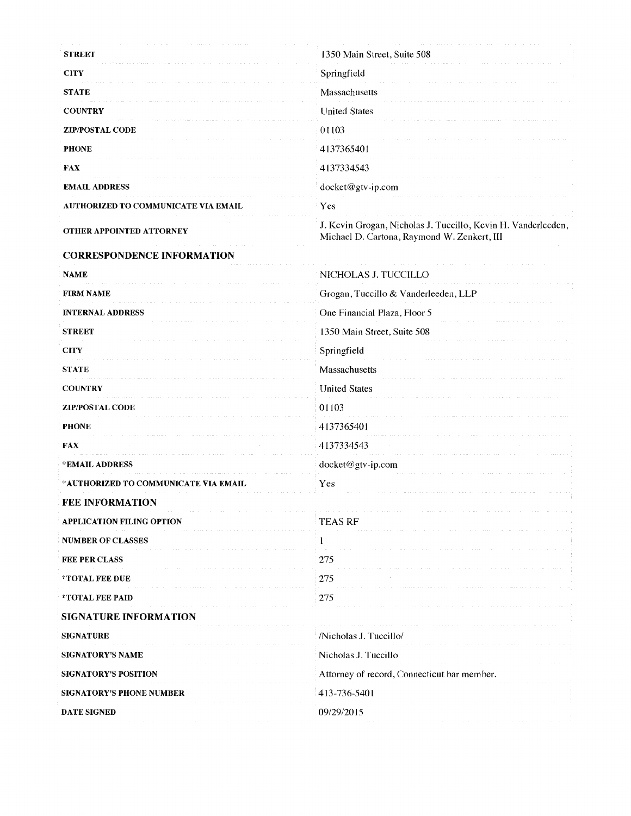| <b>STREET</b>                        | 1350 Main Street, Suite 508                                                                                  |
|--------------------------------------|--------------------------------------------------------------------------------------------------------------|
| <b>CITY</b>                          | Springfield                                                                                                  |
| <b>STATE</b>                         | Massachusetts                                                                                                |
| <b>COUNTRY</b>                       | <b>United States</b>                                                                                         |
| <b>ZIP/POSTAL CODE</b>               | 01103                                                                                                        |
| <b>PHONE</b>                         | 4137365401                                                                                                   |
| <b>FAX</b>                           | 4137334543                                                                                                   |
| <b>EMAIL ADDRESS</b>                 | docket@gtv-ip.com                                                                                            |
| AUTHORIZED TO COMMUNICATE VIA EMAIL  | Yes                                                                                                          |
| <b>OTHER APPOINTED ATTORNEY</b>      | J. Kevin Grogan, Nicholas J. Tuccillo, Kevin H. Vanderleeden,<br>Michael D. Cartona, Raymond W. Zenkert, III |
| <b>CORRESPONDENCE INFORMATION</b>    |                                                                                                              |
| <b>NAME</b>                          | NICHOLAS J. TUCCILLO                                                                                         |
| <b>FIRM NAME</b>                     | Grogan, Tuccillo & Vanderleeden, LLP                                                                         |
| <b>INTERNAL ADDRESS</b>              | One Financial Plaza, Floor 5                                                                                 |
| <b>STREET</b>                        | 1350 Main Street, Suite 508                                                                                  |
| <b>CITY</b>                          | Springfield                                                                                                  |
| <b>STATE</b>                         | Massachusetts                                                                                                |
| <b>COUNTRY</b>                       | <b>United States</b>                                                                                         |
| <b>ZIP/POSTAL CODE</b>               | 01103                                                                                                        |
| <b>PHONE</b>                         | 4137365401                                                                                                   |
| <b>FAX</b>                           | 4137334543                                                                                                   |
| *EMAIL ADDRESS                       | docket@gtv-ip.com                                                                                            |
| *AUTHORIZED TO COMMUNICATE VIA EMAIL | Yes                                                                                                          |
| <b>FEE INFORMATION</b>               |                                                                                                              |
| <b>APPLICATION FILING OPTION</b>     | <b>TEAS RF</b>                                                                                               |
| <b>NUMBER OF CLASSES</b>             |                                                                                                              |
| <b>FEE PER CLASS</b>                 | 275                                                                                                          |
| *TOTAL FEE DUE                       | 275                                                                                                          |
| *TOTAL FEE PAID                      | 275                                                                                                          |
| <b>SIGNATURE INFORMATION</b>         |                                                                                                              |
| <b>SIGNATURE</b>                     | /Nicholas J. Tuccillo/                                                                                       |
| SIGNATORY'S NAME                     | Nicholas J. Tuccillo                                                                                         |
| <b>SIGNATORY'S POSITION</b>          | Attorney of record, Connecticut bar member.                                                                  |
| <b>SIGNATORY'S PHONE NUMBER</b>      | 413-736-5401                                                                                                 |
| <b>DATE SIGNED</b>                   | 09/29/2015                                                                                                   |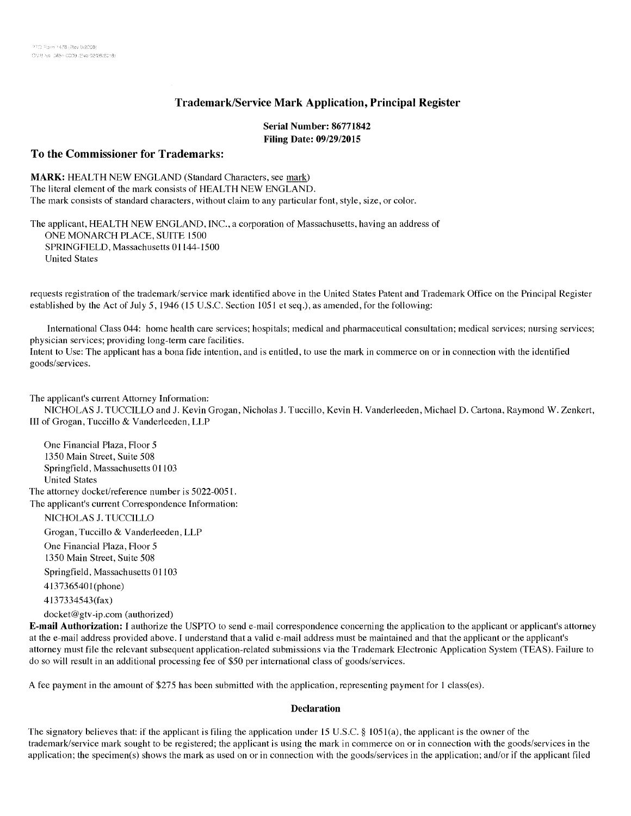#### **Trademark/Service Mark Application, Principal Register**

#### Serial Number: 86771842 **Filing Date: 09/29/2015**

#### To the Commissioner for Trademarks:

**MARK: HEALTH NEW ENGLAND (Standard Characters, see mark)** The literal element of the mark consists of HEALTH NEW ENGLAND. The mark consists of standard characters, without claim to any particular font, style, size, or color.

The applicant, HEALTH NEW ENGLAND, INC., a corporation of Massachusetts, having an address of ONE MONARCH PLACE, SUITE 1500 SPRINGFIELD, Massachusetts 01144-1500 **United States** 

requests registration of the trademark/service mark identified above in the United States Patent and Trademark Office on the Principal Register established by the Act of July 5, 1946 (15 U.S.C. Section 1051 et seq.), as amended, for the following:

International Class 044: home health care services; hospitals; medical and pharmaceutical consultation; medical services; nursing services; physician services; providing long-term care facilities.

Intent to Use: The applicant has a bona fide intention, and is entitled, to use the mark in commerce on or in connection with the identified goods/services.

The applicant's current Attorney Information:

NICHOLAS J. TUCCILLO and J. Kevin Grogan, Nicholas J. Tuccillo, Kevin H. Vanderleeden, Michael D. Cartona, Raymond W. Zenkert, III of Grogan, Tuccillo & Vanderleeden, LLP

One Financial Plaza, Floor 5 1350 Main Street, Suite 508 Springfield, Massachusetts 01103 **United States** The attorney docket/reference number is 5022-0051. The applicant's current Correspondence Information: NICHOLAS J. TUCCILLO

Grogan, Tuccillo & Vanderleeden, LLP

One Financial Plaza, Floor 5 1350 Main Street, Suite 508

Springfield, Massachusetts 01103

4137365401(phone)

4137334543(fax)

docket@gtv-ip.com (authorized)

**E-mail Authorization:** I authorize the USPTO to send e-mail correspondence concerning the application to the applicant or applicant's attorney at the e-mail address provided above. I understand that a valid e-mail address must be maintained and that the applicant or the applicant's attorney must file the relevant subsequent application-related submissions via the Trademark Electronic Application System (TEAS). Failure to do so will result in an additional processing fee of \$50 per international class of goods/services.

A fee payment in the amount of \$275 has been submitted with the application, representing payment for 1 class(es).

#### **Declaration**

The signatory believes that: if the applicant is filing the application under 15 U.S.C. § 1051(a), the applicant is the owner of the trademark/service mark sought to be registered; the applicant is using the mark in commerce on or in connection with the goods/services in the application; the specimen(s) shows the mark as used on or in connection with the goods/services in the application; and/or if the applicant filed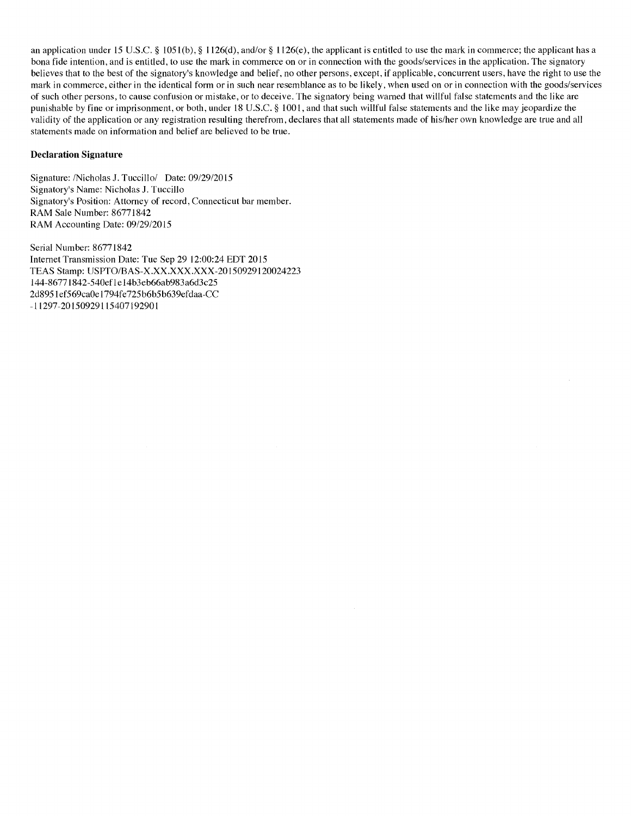an application under 15 U.S.C. § 1051(b), § 1126(d), and/or § 1126(e), the applicant is entitled to use the mark in commerce; the applicant has a bona fide intention, and is entitled, to use the mark in commerce on or in connection with the goods/services in the application. The signatory believes that to the best of the signatory's knowledge and belief, no other persons, except, if applicable, concurrent users, have the right to use the mark in commerce, either in the identical form or in such near resemblance as to be likely, when used on or in connection with the goods/services of such other persons, to cause confusion or mistake, or to deceive. The signatory being warned that willful false statements and the like are punishable by fine or imprisonment, or both, under 18 U.S.C. § 1001, and that such willful false statements and the like may jeopardize the validity of the application or any registration resulting therefrom, declares that all statements made of his/her own knowledge are true and all statements made on information and belief are believed to be true.

#### **Declaration Signature**

Signature: /Nicholas J. Tuccillo/ Date: 09/29/2015 Signatory's Name: Nicholas J. Tuccillo Signatory's Position: Attorney of record, Connecticut bar member. RAM Sale Number: 86771842 RAM Accounting Date: 09/29/2015

Serial Number: 86771842 Internet Transmission Date: Tue Sep 29 12:00:24 EDT 2015 TEAS Stamp: USPTO/BAS-X.XX.XXX.XXX-20150929120024223 144-86771842-540ef1e14b3eb66ab983a6d3c25 2d8951ef569ca0e1794fe725b6b5b639efdaa-CC -11297-20150929115407192901